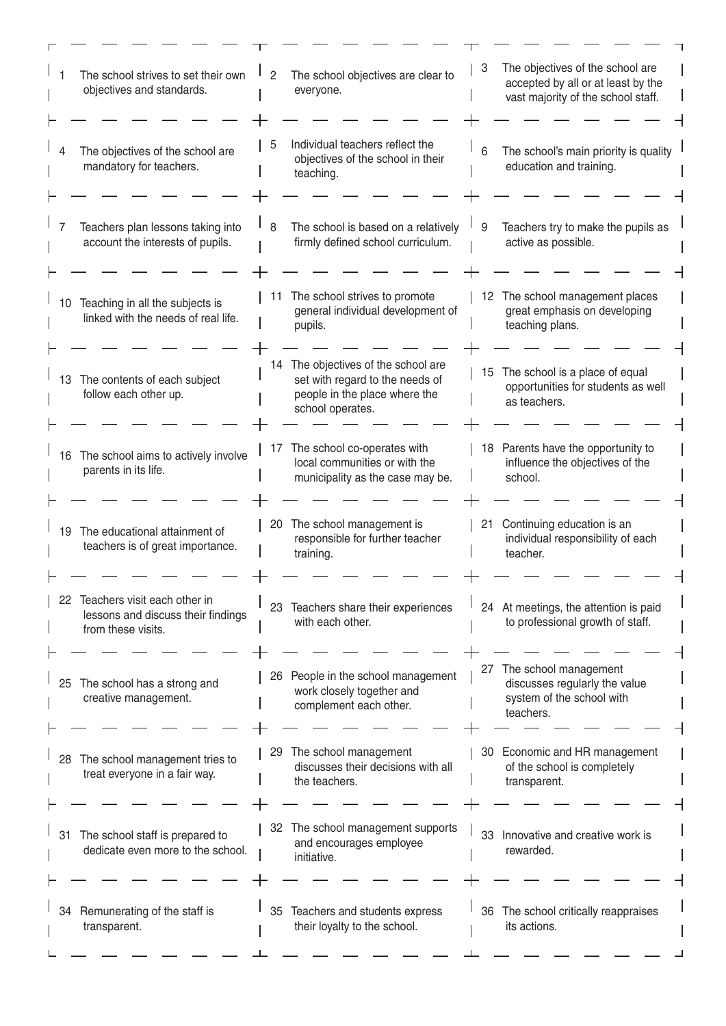| The school strives to set their own<br>objectives and standards.                               | The school objectives are clear to<br>2<br>everyone.                                                                        | The objectives of the school are<br>3<br>accepted by all or at least by the<br>vast majority of the school staff. |
|------------------------------------------------------------------------------------------------|-----------------------------------------------------------------------------------------------------------------------------|-------------------------------------------------------------------------------------------------------------------|
| The objectives of the school are<br>mandatory for teachers.                                    | Individual teachers reflect the<br>5<br>objectives of the school in their<br>teaching.                                      | The school's main priority is quality<br>6<br>education and training.                                             |
| Teachers plan lessons taking into<br>account the interests of pupils.                          | 8<br>The school is based on a relatively<br>firmly defined school curriculum.                                               | Teachers try to make the pupils as<br>9<br>active as possible.                                                    |
| Teaching in all the subjects is<br>10<br>linked with the needs of real life.                   | The school strives to promote<br>11<br>general individual development of<br>pupils.                                         | 12 The school management places<br>great emphasis on developing<br>teaching plans.                                |
| The contents of each subject<br>13<br>follow each other up.                                    | 14 The objectives of the school are<br>set with regard to the needs of<br>people in the place where the<br>school operates. | 15 The school is a place of equal<br>opportunities for students as well<br>as teachers.                           |
| The school aims to actively involve<br>16<br>parents in its life.                              | The school co-operates with<br>17<br>local communities or with the<br>municipality as the case may be.                      | 18 Parents have the opportunity to<br>influence the objectives of the<br>school.                                  |
| The educational attainment of<br>19<br>teachers is of great importance.                        | 20 The school management is<br>responsible for further teacher<br>training.                                                 | 21 Continuing education is an<br>individual responsibility of each<br>teacher.                                    |
| 22<br>Teachers visit each other in<br>lessons and discuss their findings<br>from these visits. | Teachers share their experiences<br>23<br>with each other.                                                                  | 24 At meetings, the attention is paid<br>to professional growth of staff.                                         |
| The school has a strong and<br>25<br>creative management.                                      | 26 People in the school management<br>work closely together and<br>complement each other.                                   | The school management<br>27<br>discusses regularly the value<br>system of the school with<br>teachers.            |
| The school management tries to<br>28<br>treat everyone in a fair way.                          | The school management<br>29<br>discusses their decisions with all<br>the teachers.                                          | 30 Economic and HR management<br>of the school is completely<br>transparent.                                      |
| The school staff is prepared to<br>31<br>dedicate even more to the school.                     | 32 The school management supports<br>and encourages employee<br>initiative.                                                 | 33 Innovative and creative work is<br>rewarded.                                                                   |
| Remunerating of the staff is<br>34<br>transparent.                                             | 35 Teachers and students express<br>their loyalty to the school.                                                            | 36 The school critically reappraises<br>its actions.                                                              |